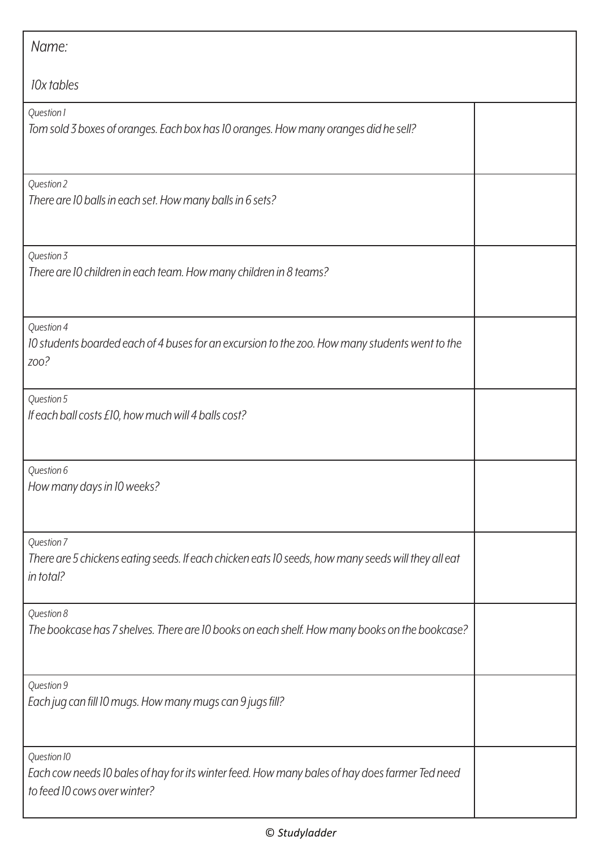| Name:                                                                                                                                         |  |
|-----------------------------------------------------------------------------------------------------------------------------------------------|--|
| 10x tables                                                                                                                                    |  |
| Question 1<br>Tom sold 3 boxes of oranges. Each box has 10 oranges. How many oranges did he sell?                                             |  |
| Question 2<br>There are 10 balls in each set. How many balls in 6 sets?                                                                       |  |
| Question 3<br>There are 10 children in each team. How many children in 8 teams?                                                               |  |
| Question 4<br>10 students boarded each of 4 buses for an excursion to the zoo. How many students went to the<br>ZOO?                          |  |
| Question 5<br>If each ball costs £10, how much will 4 balls cost?                                                                             |  |
| Question 6<br>How many days in 10 weeks?                                                                                                      |  |
| Question 7<br>There are 5 chickens eating seeds. If each chicken eats 10 seeds, how many seeds will they all eat<br>in total?                 |  |
| Question 8<br>The bookcase has 7 shelves. There are 10 books on each shelf. How many books on the bookcase?                                   |  |
| Question 9<br>Each jug can fill 10 mugs. How many mugs can 9 jugs fill?                                                                       |  |
| Question 10<br>Each cow needs 10 bales of hay for its winter feed. How many bales of hay does farmer Ted need<br>to feed 10 cows over winter? |  |